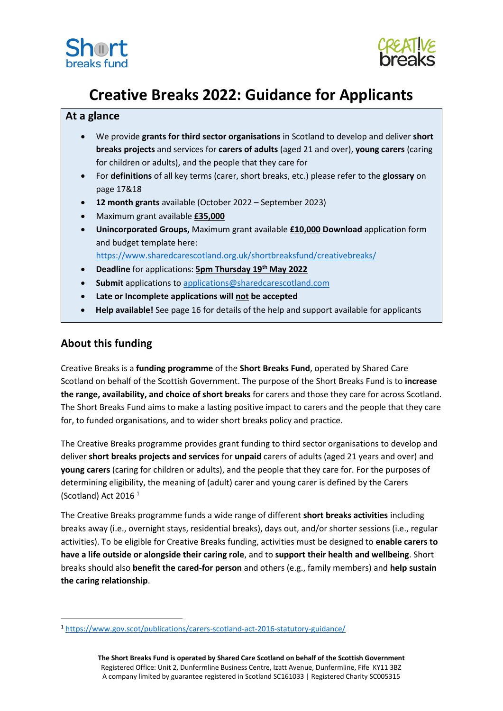



# **Creative Breaks 2022: Guidance for Applicants**

# **At a glance**

- We provide **grants for third sector organisations** in Scotland to develop and deliver **short breaks projects** and services for **carers of adults** (aged 21 and over), **young carers** (caring for children or adults), and the people that they care for
- For **definitions** of all key terms (carer, short breaks, etc.) please refer to the **glossary** on page 17&18
- **12 month grants** available (October 2022 September 2023)
- Maximum grant available **£35,000**
- **Unincorporated Groups,** Maximum grant available **£10,000 Download** application form and budget template here:

<https://www.sharedcarescotland.org.uk/shortbreaksfund/creativebreaks/>

- **Deadline** for applications: **5pm Thursday 19th May 2022**
- **Submit** applications to [applications@sharedcarescotland.com](mailto:applications@sharedcarescotland.com)
- **Late or Incomplete applications will not be accepted**
- **Help available!** See page 16 for details of the help and support available for applicants

# **About this funding**

Creative Breaks is a **funding programme** of the **Short Breaks Fund**, operated by Shared Care Scotland on behalf of the Scottish Government. The purpose of the Short Breaks Fund is to **increase the range, availability, and choice of short breaks** for carers and those they care for across Scotland. The Short Breaks Fund aims to make a lasting positive impact to carers and the people that they care for, to funded organisations, and to wider short breaks policy and practice.

The Creative Breaks programme provides grant funding to third sector organisations to develop and deliver **short breaks projects and services** for **unpaid** carers of adults (aged 21 years and over) and **young carers** (caring for children or adults), and the people that they care for. For the purposes of determining eligibility, the meaning of (adult) carer and young carer is defined by the Carers (Scotland) Act 2016 <sup>1</sup>

The Creative Breaks programme funds a wide range of different **short breaks activities** including breaks away (i.e., overnight stays, residential breaks), days out, and/or shorter sessions (i.e., regular activities). To be eligible for Creative Breaks funding, activities must be designed to **enable carers to have a life outside or alongside their caring role**, and to **support their health and wellbeing**. Short breaks should also **benefit the cared-for person** and others (e.g., family members) and **help sustain the caring relationship**.

<sup>1</sup> <https://www.gov.scot/publications/carers-scotland-act-2016-statutory-guidance/>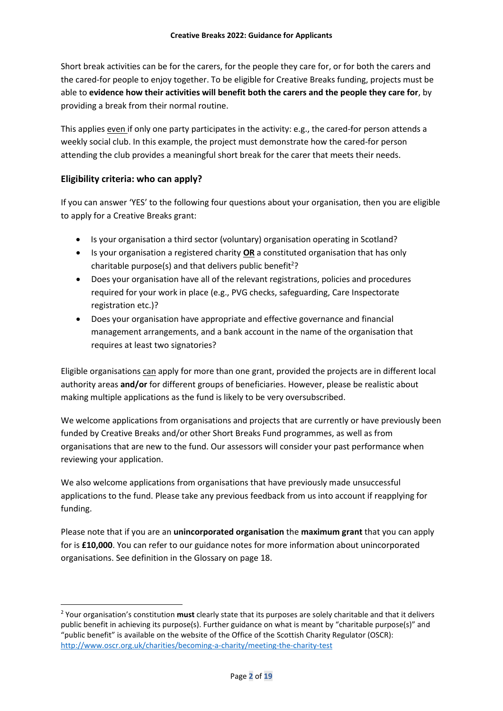Short break activities can be for the carers, for the people they care for, or for both the carers and the cared-for people to enjoy together. To be eligible for Creative Breaks funding, projects must be able to **evidence how their activities will benefit both the carers and the people they care for**, by providing a break from their normal routine.

This applies even if only one party participates in the activity: e.g., the cared-for person attends a weekly social club. In this example, the project must demonstrate how the cared-for person attending the club provides a meaningful short break for the carer that meets their needs.

## **Eligibility criteria: who can apply?**

If you can answer 'YES' to the following four questions about your organisation, then you are eligible to apply for a Creative Breaks grant:

- Is your organisation a third sector (voluntary) organisation operating in Scotland?
- Is your organisation a registered charity **OR** a constituted organisation that has only charitable purpose(s) and that delivers public benefit<sup>2</sup>?
- Does your organisation have all of the relevant registrations, policies and procedures required for your work in place (e.g., PVG checks, safeguarding, Care Inspectorate registration etc.)?
- Does your organisation have appropriate and effective governance and financial management arrangements, and a bank account in the name of the organisation that requires at least two signatories?

Eligible organisations can apply for more than one grant, provided the projects are in different local authority areas **and/or** for different groups of beneficiaries. However, please be realistic about making multiple applications as the fund is likely to be very oversubscribed.

We welcome applications from organisations and projects that are currently or have previously been funded by Creative Breaks and/or other Short Breaks Fund programmes, as well as from organisations that are new to the fund. Our assessors will consider your past performance when reviewing your application.

We also welcome applications from organisations that have previously made unsuccessful applications to the fund. Please take any previous feedback from us into account if reapplying for funding.

Please note that if you are an **unincorporated organisation** the **maximum grant** that you can apply for is **£10,000**. You can refer to our guidance notes for more information about unincorporated organisations. See definition in the Glossary on page 18.

<sup>2</sup> Your organisation's constitution **must** clearly state that its purposes are solely charitable and that it delivers public benefit in achieving its purpose(s). Further guidance on what is meant by "charitable purpose(s)" and "public benefit" is available on the website of the Office of the Scottish Charity Regulator (OSCR): <http://www.oscr.org.uk/charities/becoming-a-charity/meeting-the-charity-test>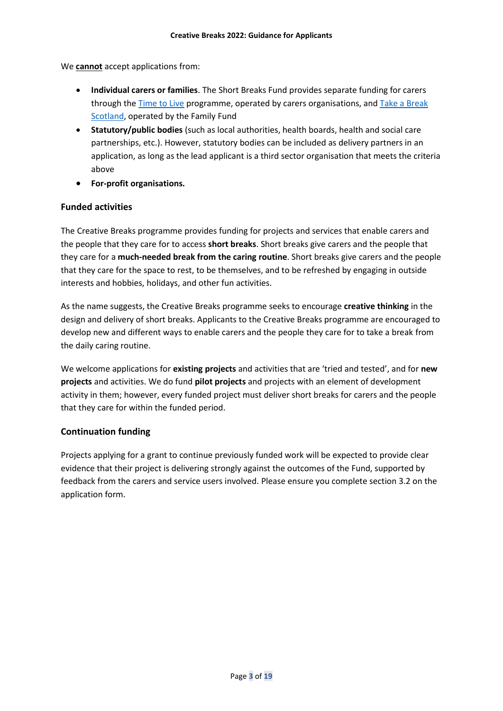We **cannot** accept applications from:

- **Individual carers or families**. The Short Breaks Fund provides separate funding for carers through the [Time to Live](https://www.sharedcarescotland.org.uk/shortbreaksfund/timetolive/) programme, operated by carers organisations, an[d Take a Break](https://takeabreakscotland.org.uk/)  [Scotland,](https://takeabreakscotland.org.uk/) operated by the Family Fund
- **Statutory/public bodies** (such as local authorities, health boards, health and social care partnerships, etc.). However, statutory bodies can be included as delivery partners in an application, as long as the lead applicant is a third sector organisation that meets the criteria above
- **For-profit organisations.**

## **Funded activities**

The Creative Breaks programme provides funding for projects and services that enable carers and the people that they care for to access **short breaks**. Short breaks give carers and the people that they care for a **much-needed break from the caring routine**. Short breaks give carers and the people that they care for the space to rest, to be themselves, and to be refreshed by engaging in outside interests and hobbies, holidays, and other fun activities.

As the name suggests, the Creative Breaks programme seeks to encourage **creative thinking** in the design and delivery of short breaks. Applicants to the Creative Breaks programme are encouraged to develop new and different ways to enable carers and the people they care for to take a break from the daily caring routine.

We welcome applications for **existing projects** and activities that are 'tried and tested', and for **new projects** and activities. We do fund **pilot projects** and projects with an element of development activity in them; however, every funded project must deliver short breaks for carers and the people that they care for within the funded period.

## **Continuation funding**

Projects applying for a grant to continue previously funded work will be expected to provide clear evidence that their project is delivering strongly against the outcomes of the Fund, supported by feedback from the carers and service users involved. Please ensure you complete section 3.2 on the application form.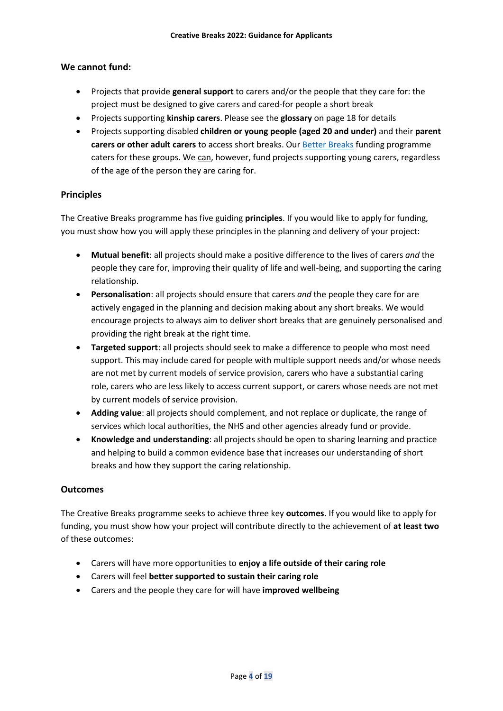## **We cannot fund:**

- Projects that provide **general support** to carers and/or the people that they care for: the project must be designed to give carers and cared-for people a short break
- Projects supporting **kinship carers**. Please see the **glossary** on page 18 for details
- Projects supporting disabled **children or young people (aged 20 and under)** and their **parent carers or other adult carers** to access short breaks. Our [Better Breaks](https://www.sharedcarescotland.org.uk/shortbreaksfund/betterbreaks/) funding programme caters for these groups. We can, however, fund projects supporting young carers, regardless of the age of the person they are caring for.

## **Principles**

The Creative Breaks programme has five guiding **principles**. If you would like to apply for funding, you must show how you will apply these principles in the planning and delivery of your project:

- **Mutual benefit**: all projects should make a positive difference to the lives of carers *and* the people they care for, improving their quality of life and well-being, and supporting the caring relationship.
- **Personalisation**: all projects should ensure that carers *and* the people they care for are actively engaged in the planning and decision making about any short breaks. We would encourage projects to always aim to deliver short breaks that are genuinely personalised and providing the right break at the right time.
- **Targeted support**: all projects should seek to make a difference to people who most need support. This may include cared for people with multiple support needs and/or whose needs are not met by current models of service provision, carers who have a substantial caring role, carers who are less likely to access current support, or carers whose needs are not met by current models of service provision.
- **Adding value**: all projects should complement, and not replace or duplicate, the range of services which local authorities, the NHS and other agencies already fund or provide.
- **Knowledge and understanding**: all projects should be open to sharing learning and practice and helping to build a common evidence base that increases our understanding of short breaks and how they support the caring relationship.

#### **Outcomes**

The Creative Breaks programme seeks to achieve three key **outcomes**. If you would like to apply for funding, you must show how your project will contribute directly to the achievement of **at least two** of these outcomes:

- Carers will have more opportunities to **enjoy a life outside of their caring role**
- Carers will feel **better supported to sustain their caring role**
- Carers and the people they care for will have **improved wellbeing**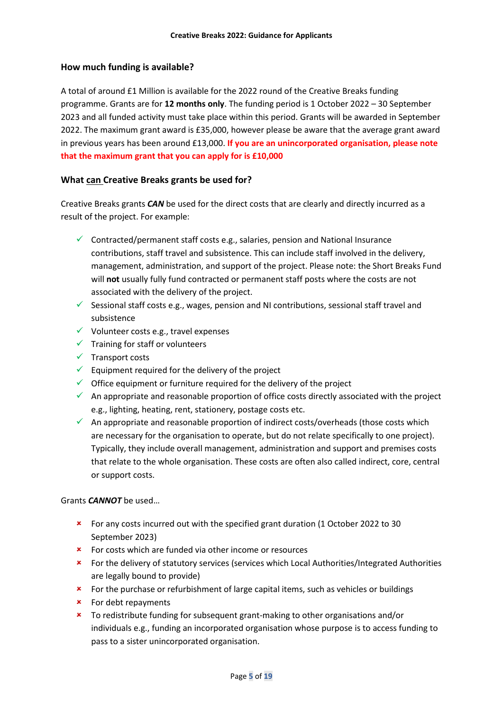## **How much funding is available?**

A total of around £1 Million is available for the 2022 round of the Creative Breaks funding programme. Grants are for **12 months only**. The funding period is 1 October 2022 – 30 September 2023 and all funded activity must take place within this period. Grants will be awarded in September 2022. The maximum grant award is £35,000, however please be aware that the average grant award in previous years has been around £13,000. **If you are an unincorporated organisation, please note that the maximum grant that you can apply for is £10,000**

## **What can Creative Breaks grants be used for?**

Creative Breaks grants *CAN* be used for the direct costs that are clearly and directly incurred as a result of the project. For example:

- $\checkmark$  Contracted/permanent staff costs e.g., salaries, pension and National Insurance contributions, staff travel and subsistence. This can include staff involved in the delivery, management, administration, and support of the project. Please note: the Short Breaks Fund will **not** usually fully fund contracted or permanent staff posts where the costs are not associated with the delivery of the project.
- $\checkmark$  Sessional staff costs e.g., wages, pension and NI contributions, sessional staff travel and subsistence
- $\checkmark$  Volunteer costs e.g., travel expenses
- $\checkmark$  Training for staff or volunteers
- $\checkmark$  Transport costs
- $\checkmark$  Equipment required for the delivery of the project
- $\checkmark$  Office equipment or furniture required for the delivery of the project
- $\checkmark$  An appropriate and reasonable proportion of office costs directly associated with the project e.g., lighting, heating, rent, stationery, postage costs etc.
- $\checkmark$  An appropriate and reasonable proportion of indirect costs/overheads (those costs which are necessary for the organisation to operate, but do not relate specifically to one project). Typically, they include overall management, administration and support and premises costs that relate to the whole organisation. These costs are often also called indirect, core, central or support costs.

#### Grants *CANNOT* be used…

- For any costs incurred out with the specified grant duration (1 October 2022 to 30 September 2023)
- **\*** For costs which are funded via other income or resources
- For the delivery of statutory services (services which Local Authorities/Integrated Authorities are legally bound to provide)
- \* For the purchase or refurbishment of large capital items, such as vehicles or buildings
- $\star$  For debt repayments
- To redistribute funding for subsequent grant-making to other organisations and/or individuals e.g., funding an incorporated organisation whose purpose is to access funding to pass to a sister unincorporated organisation.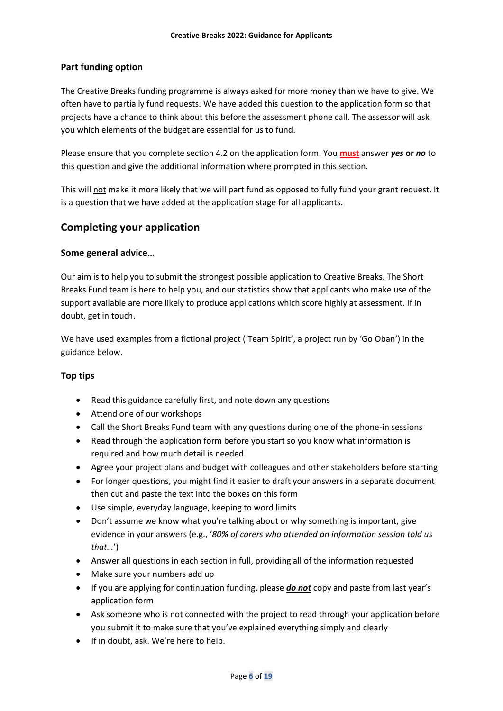## **Part funding option**

The Creative Breaks funding programme is always asked for more money than we have to give. We often have to partially fund requests. We have added this question to the application form so that projects have a chance to think about this before the assessment phone call. The assessor will ask you which elements of the budget are essential for us to fund.

Please ensure that you complete section 4.2 on the application form. You **must** answer *yes* **or** *no* to this question and give the additional information where prompted in this section.

This will not make it more likely that we will part fund as opposed to fully fund your grant request. It is a question that we have added at the application stage for all applicants.

# **Completing your application**

## **Some general advice…**

Our aim is to help you to submit the strongest possible application to Creative Breaks. The Short Breaks Fund team is here to help you, and our statistics show that applicants who make use of the support available are more likely to produce applications which score highly at assessment. If in doubt, get in touch.

We have used examples from a fictional project ('Team Spirit', a project run by 'Go Oban') in the guidance below.

## **Top tips**

- Read this guidance carefully first, and note down any questions
- Attend one of our workshops
- Call the Short Breaks Fund team with any questions during one of the phone-in sessions
- Read through the application form before you start so you know what information is required and how much detail is needed
- Agree your project plans and budget with colleagues and other stakeholders before starting
- For longer questions, you might find it easier to draft your answers in a separate document then cut and paste the text into the boxes on this form
- Use simple, everyday language, keeping to word limits
- Don't assume we know what you're talking about or why something is important, give evidence in your answers (e.g., '*80% of carers who attended an information session told us that…*')
- Answer all questions in each section in full, providing all of the information requested
- Make sure your numbers add up
- If you are applying for continuation funding, please *do not* copy and paste from last year's application form
- Ask someone who is not connected with the project to read through your application before you submit it to make sure that you've explained everything simply and clearly
- If in doubt, ask. We're here to help.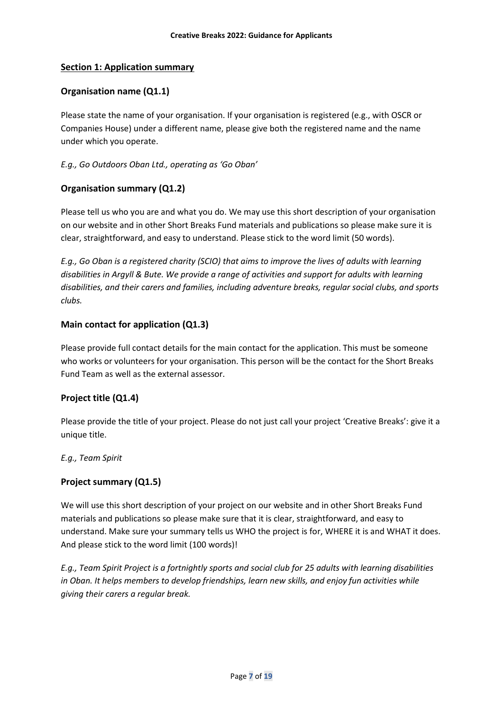## **Section 1: Application summary**

## **Organisation name (Q1.1)**

Please state the name of your organisation. If your organisation is registered (e.g., with OSCR or Companies House) under a different name, please give both the registered name and the name under which you operate.

#### *E.g., Go Outdoors Oban Ltd., operating as 'Go Oban'*

## **Organisation summary (Q1.2)**

Please tell us who you are and what you do. We may use this short description of your organisation on our website and in other Short Breaks Fund materials and publications so please make sure it is clear, straightforward, and easy to understand. Please stick to the word limit (50 words).

*E.g., Go Oban is a registered charity (SCIO) that aims to improve the lives of adults with learning disabilities in Argyll & Bute. We provide a range of activities and support for adults with learning disabilities, and their carers and families, including adventure breaks, regular social clubs, and sports clubs.*

## **Main contact for application (Q1.3)**

Please provide full contact details for the main contact for the application. This must be someone who works or volunteers for your organisation. This person will be the contact for the Short Breaks Fund Team as well as the external assessor.

## **Project title (Q1.4)**

Please provide the title of your project. Please do not just call your project 'Creative Breaks': give it a unique title.

#### *E.g., Team Spirit*

#### **Project summary (Q1.5)**

We will use this short description of your project on our website and in other Short Breaks Fund materials and publications so please make sure that it is clear, straightforward, and easy to understand. Make sure your summary tells us WHO the project is for, WHERE it is and WHAT it does. And please stick to the word limit (100 words)!

*E.g., Team Spirit Project is a fortnightly sports and social club for 25 adults with learning disabilities in Oban. It helps members to develop friendships, learn new skills, and enjoy fun activities while giving their carers a regular break.*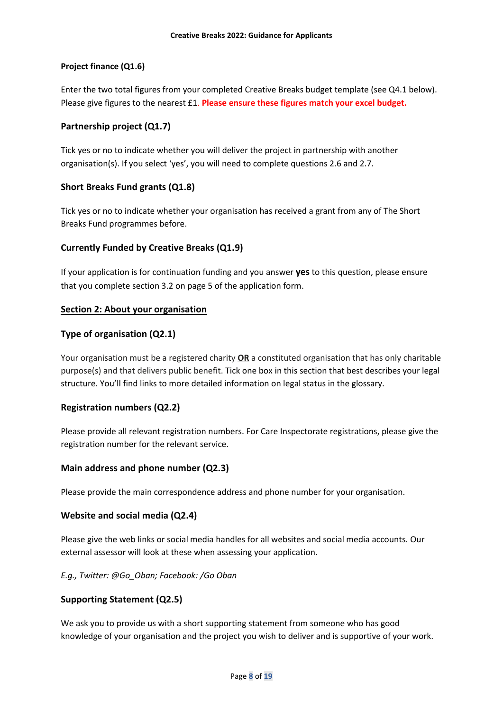## **Project finance (Q1.6)**

Enter the two total figures from your completed Creative Breaks budget template (see Q4.1 below). Please give figures to the nearest £1. **Please ensure these figures match your excel budget.**

## **Partnership project (Q1.7)**

Tick yes or no to indicate whether you will deliver the project in partnership with another organisation(s). If you select 'yes', you will need to complete questions 2.6 and 2.7.

## **Short Breaks Fund grants (Q1.8)**

Tick yes or no to indicate whether your organisation has received a grant from any of The Short Breaks Fund programmes before.

## **Currently Funded by Creative Breaks (Q1.9)**

If your application is for continuation funding and you answer **yes** to this question, please ensure that you complete section 3.2 on page 5 of the application form.

## **Section 2: About your organisation**

## **Type of organisation (Q2.1)**

Your organisation must be a registered charity **OR** a constituted organisation that has only charitable purpose(s) and that delivers public benefit. Tick one box in this section that best describes your legal structure. You'll find links to more detailed information on legal status in the glossary.

#### **Registration numbers (Q2.2)**

Please provide all relevant registration numbers. For Care Inspectorate registrations, please give the registration number for the relevant service.

#### **Main address and phone number (Q2.3)**

Please provide the main correspondence address and phone number for your organisation.

#### **Website and social media (Q2.4)**

Please give the web links or social media handles for all websites and social media accounts. Our external assessor will look at these when assessing your application.

#### *E.g., Twitter: @Go\_Oban; Facebook: /Go Oban*

#### **Supporting Statement (Q2.5)**

We ask you to provide us with a short supporting statement from someone who has good knowledge of your organisation and the project you wish to deliver and is supportive of your work.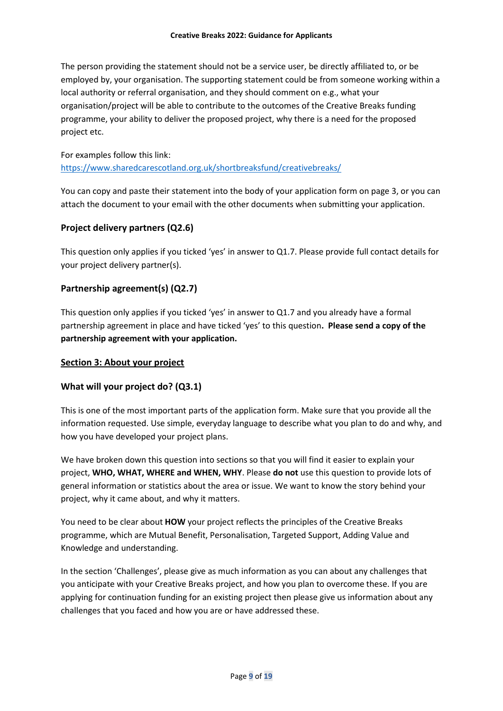The person providing the statement should not be a service user, be directly affiliated to, or be employed by, your organisation. The supporting statement could be from someone working within a local authority or referral organisation, and they should comment on e.g., what your organisation/project will be able to contribute to the outcomes of the Creative Breaks funding programme, your ability to deliver the proposed project, why there is a need for the proposed project etc.

## For examples follow this link: <https://www.sharedcarescotland.org.uk/shortbreaksfund/creativebreaks/>

You can copy and paste their statement into the body of your application form on page 3, or you can attach the document to your email with the other documents when submitting your application.

# **Project delivery partners (Q2.6)**

This question only applies if you ticked 'yes' in answer to Q1.7. Please provide full contact details for your project delivery partner(s).

## **Partnership agreement(s) (Q2.7)**

This question only applies if you ticked 'yes' in answer to Q1.7 and you already have a formal partnership agreement in place and have ticked 'yes' to this question**. Please send a copy of the partnership agreement with your application.**

## **Section 3: About your project**

## **What will your project do? (Q3.1)**

This is one of the most important parts of the application form. Make sure that you provide all the information requested. Use simple, everyday language to describe what you plan to do and why, and how you have developed your project plans.

We have broken down this question into sections so that you will find it easier to explain your project, **WHO, WHAT, WHERE and WHEN, WHY**. Please **do not** use this question to provide lots of general information or statistics about the area or issue. We want to know the story behind your project, why it came about, and why it matters.

You need to be clear about **HOW** your project reflects the principles of the Creative Breaks programme, which are Mutual Benefit, Personalisation, Targeted Support, Adding Value and Knowledge and understanding.

In the section 'Challenges', please give as much information as you can about any challenges that you anticipate with your Creative Breaks project, and how you plan to overcome these. If you are applying for continuation funding for an existing project then please give us information about any challenges that you faced and how you are or have addressed these.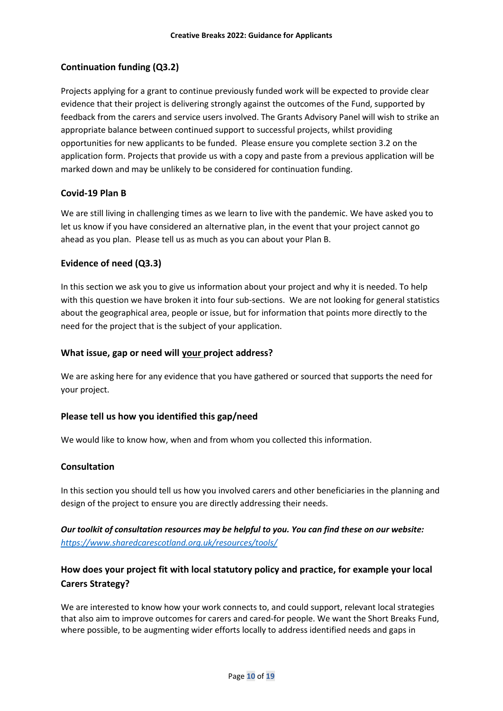# **Continuation funding (Q3.2)**

Projects applying for a grant to continue previously funded work will be expected to provide clear evidence that their project is delivering strongly against the outcomes of the Fund, supported by feedback from the carers and service users involved. The Grants Advisory Panel will wish to strike an appropriate balance between continued support to successful projects, whilst providing opportunities for new applicants to be funded. Please ensure you complete section 3.2 on the application form. Projects that provide us with a copy and paste from a previous application will be marked down and may be unlikely to be considered for continuation funding.

## **Covid-19 Plan B**

We are still living in challenging times as we learn to live with the pandemic. We have asked you to let us know if you have considered an alternative plan, in the event that your project cannot go ahead as you plan. Please tell us as much as you can about your Plan B.

## **Evidence of need (Q3.3)**

In this section we ask you to give us information about your project and why it is needed. To help with this question we have broken it into four sub-sections. We are not looking for general statistics about the geographical area, people or issue, but for information that points more directly to the need for the project that is the subject of your application.

#### **What issue, gap or need will your project address?**

We are asking here for any evidence that you have gathered or sourced that supports the need for your project.

#### **Please tell us how you identified this gap/need**

We would like to know how, when and from whom you collected this information.

#### **Consultation**

In this section you should tell us how you involved carers and other beneficiaries in the planning and design of the project to ensure you are directly addressing their needs.

# *Our toolkit of consultation resources may be helpful to you. You can find these on our website: <https://www.sharedcarescotland.org.uk/resources/tools/>*

# **How does your project fit with local statutory policy and practice, for example your local Carers Strategy?**

We are interested to know how your work connects to, and could support, relevant local strategies that also aim to improve outcomes for carers and cared-for people. We want the Short Breaks Fund, where possible, to be augmenting wider efforts locally to address identified needs and gaps in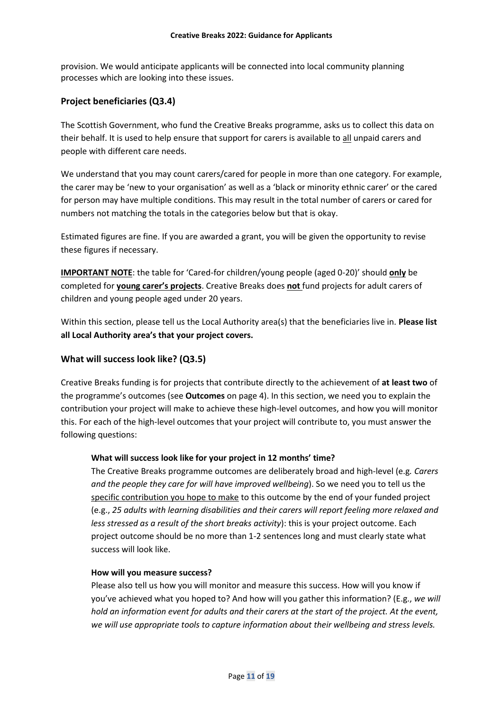provision. We would anticipate applicants will be connected into local community planning processes which are looking into these issues.

## **Project beneficiaries (Q3.4)**

The Scottish Government, who fund the Creative Breaks programme, asks us to collect this data on their behalf. It is used to help ensure that support for carers is available to all unpaid carers and people with different care needs.

We understand that you may count carers/cared for people in more than one category. For example, the carer may be 'new to your organisation' as well as a 'black or minority ethnic carer' or the cared for person may have multiple conditions. This may result in the total number of carers or cared for numbers not matching the totals in the categories below but that is okay.

Estimated figures are fine. If you are awarded a grant, you will be given the opportunity to revise these figures if necessary.

**IMPORTANT NOTE**: the table for 'Cared-for children/young people (aged 0-20)' should **only** be completed for **young carer's projects**. Creative Breaks does **not** fund projects for adult carers of children and young people aged under 20 years.

Within this section, please tell us the Local Authority area(s) that the beneficiaries live in. **Please list all Local Authority area's that your project covers.** 

## **What will success look like? (Q3.5)**

Creative Breaks funding is for projects that contribute directly to the achievement of **at least two** of the programme's outcomes (see **Outcomes** on page 4). In this section, we need you to explain the contribution your project will make to achieve these high-level outcomes, and how you will monitor this. For each of the high-level outcomes that your project will contribute to, you must answer the following questions:

#### **What will success look like for your project in 12 months' time?**

The Creative Breaks programme outcomes are deliberately broad and high-level (e.g*. Carers and the people they care for will have improved wellbeing*). So we need you to tell us the specific contribution you hope to make to this outcome by the end of your funded project (e.g., *25 adults with learning disabilities and their carers will report feeling more relaxed and less stressed as a result of the short breaks activity*): this is your project outcome. Each project outcome should be no more than 1-2 sentences long and must clearly state what success will look like.

#### **How will you measure success?**

Please also tell us how you will monitor and measure this success. How will you know if you've achieved what you hoped to? And how will you gather this information? (E.g., *we will hold an information event for adults and their carers at the start of the project. At the event, we will use appropriate tools to capture information about their wellbeing and stress levels.*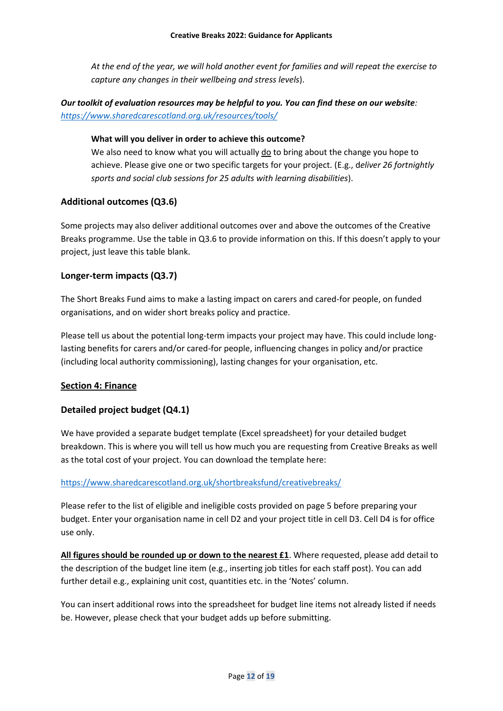*At the end of the year, we will hold another event for families and will repeat the exercise to capture any changes in their wellbeing and stress levels*).

# *Our toolkit of evaluation resources may be helpful to you. You can find these on our website: <https://www.sharedcarescotland.org.uk/resources/tools/>*

#### **What will you deliver in order to achieve this outcome?**

We also need to know what you will actually do to bring about the change you hope to achieve. Please give one or two specific targets for your project. (E.g., d*eliver 26 fortnightly sports and social club sessions for 25 adults with learning disabilities*).

## **Additional outcomes (Q3.6)**

Some projects may also deliver additional outcomes over and above the outcomes of the Creative Breaks programme. Use the table in Q3.6 to provide information on this. If this doesn't apply to your project, just leave this table blank.

## **Longer-term impacts (Q3.7)**

The Short Breaks Fund aims to make a lasting impact on carers and cared-for people, on funded organisations, and on wider short breaks policy and practice.

Please tell us about the potential long-term impacts your project may have. This could include longlasting benefits for carers and/or cared-for people, influencing changes in policy and/or practice (including local authority commissioning), lasting changes for your organisation, etc.

## **Section 4: Finance**

## **Detailed project budget (Q4.1)**

We have provided a separate budget template (Excel spreadsheet) for your detailed budget breakdown. This is where you will tell us how much you are requesting from Creative Breaks as well as the total cost of your project. You can download the template here:

## <https://www.sharedcarescotland.org.uk/shortbreaksfund/creativebreaks/>

Please refer to the list of eligible and ineligible costs provided on page 5 before preparing your budget. Enter your organisation name in cell D2 and your project title in cell D3. Cell D4 is for office use only.

**All figures should be rounded up or down to the nearest £1**. Where requested, please add detail to the description of the budget line item (e.g., inserting job titles for each staff post). You can add further detail e.g., explaining unit cost, quantities etc. in the 'Notes' column.

You can insert additional rows into the spreadsheet for budget line items not already listed if needs be. However, please check that your budget adds up before submitting.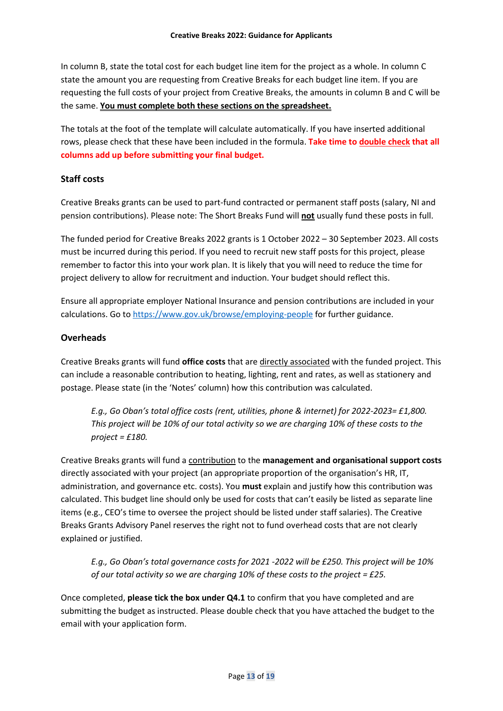In column B, state the total cost for each budget line item for the project as a whole. In column C state the amount you are requesting from Creative Breaks for each budget line item. If you are requesting the full costs of your project from Creative Breaks, the amounts in column B and C will be the same. **You must complete both these sections on the spreadsheet.**

The totals at the foot of the template will calculate automatically. If you have inserted additional rows, please check that these have been included in the formula. **Take time to double check that all columns add up before submitting your final budget.** 

## **Staff costs**

Creative Breaks grants can be used to part-fund contracted or permanent staff posts (salary, NI and pension contributions). Please note: The Short Breaks Fund will **not** usually fund these posts in full.

The funded period for Creative Breaks 2022 grants is 1 October 2022 – 30 September 2023. All costs must be incurred during this period. If you need to recruit new staff posts for this project, please remember to factor this into your work plan. It is likely that you will need to reduce the time for project delivery to allow for recruitment and induction. Your budget should reflect this.

Ensure all appropriate employer National Insurance and pension contributions are included in your calculations. Go to<https://www.gov.uk/browse/employing-people> for further guidance.

## **Overheads**

Creative Breaks grants will fund **office costs** that are directly associated with the funded project. This can include a reasonable contribution to heating, lighting, rent and rates, as well as stationery and postage. Please state (in the 'Notes' column) how this contribution was calculated.

*E.g., Go Oban's total office costs (rent, utilities, phone & internet) for 2022-2023= £1,800. This project will be 10% of our total activity so we are charging 10% of these costs to the project = £180.*

Creative Breaks grants will fund a contribution to the **management and organisational support costs** directly associated with your project (an appropriate proportion of the organisation's HR, IT, administration, and governance etc. costs). You **must** explain and justify how this contribution was calculated. This budget line should only be used for costs that can't easily be listed as separate line items (e.g., CEO's time to oversee the project should be listed under staff salaries). The Creative Breaks Grants Advisory Panel reserves the right not to fund overhead costs that are not clearly explained or justified.

*E.g., Go Oban's total governance costs for 2021 -2022 will be £250. This project will be 10% of our total activity so we are charging 10% of these costs to the project = £25.* 

Once completed, **please tick the box under Q4.1** to confirm that you have completed and are submitting the budget as instructed. Please double check that you have attached the budget to the email with your application form.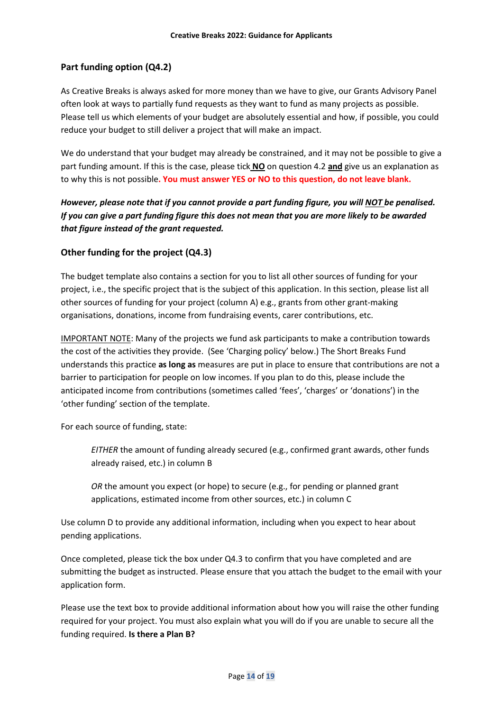## **Part funding option (Q4.2)**

As Creative Breaks is always asked for more money than we have to give, our Grants Advisory Panel often look at ways to partially fund requests as they want to fund as many projects as possible. Please tell us which elements of your budget are absolutely essential and how, if possible, you could reduce your budget to still deliver a project that will make an impact.

We do understand that your budget may already be constrained, and it may not be possible to give a part funding amount. If this is the case, please tick **NO** on question 4.2 **and** give us an explanation as to why this is not possible**. You must answer YES or NO to this question, do not leave blank.** 

# *However, please note that if you cannot provide a part funding figure, you will NOT be penalised. If you can give a part funding figure this does not mean that you are more likely to be awarded that figure instead of the grant requested.*

## **Other funding for the project (Q4.3)**

The budget template also contains a section for you to list all other sources of funding for your project, i.e., the specific project that is the subject of this application. In this section, please list all other sources of funding for your project (column A) e.g., grants from other grant-making organisations, donations, income from fundraising events, carer contributions, etc.

IMPORTANT NOTE: Many of the projects we fund ask participants to make a contribution towards the cost of the activities they provide. (See 'Charging policy' below.) The Short Breaks Fund understands this practice **as long as** measures are put in place to ensure that contributions are not a barrier to participation for people on low incomes. If you plan to do this, please include the anticipated income from contributions (sometimes called 'fees', 'charges' or 'donations') in the 'other funding' section of the template.

For each source of funding, state:

*EITHER* the amount of funding already secured (e.g., confirmed grant awards, other funds already raised, etc.) in column B

*OR* the amount you expect (or hope) to secure (e.g., for pending or planned grant applications, estimated income from other sources, etc.) in column C

Use column D to provide any additional information, including when you expect to hear about pending applications.

Once completed, please tick the box under Q4.3 to confirm that you have completed and are submitting the budget as instructed. Please ensure that you attach the budget to the email with your application form.

Please use the text box to provide additional information about how you will raise the other funding required for your project. You must also explain what you will do if you are unable to secure all the funding required. **Is there a Plan B?**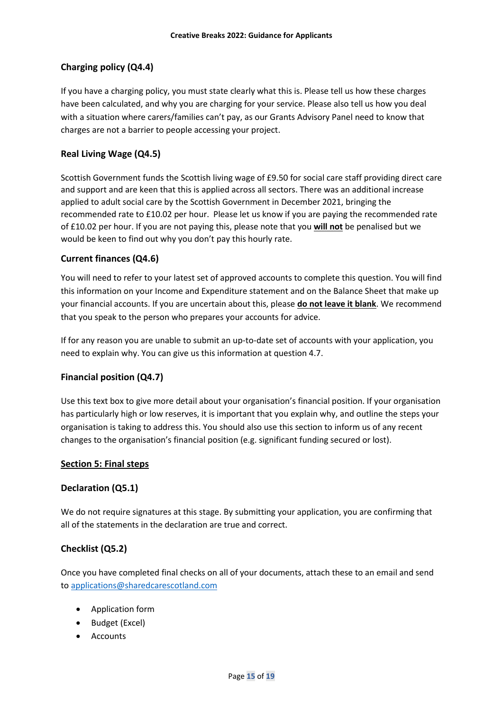# **Charging policy (Q4.4)**

If you have a charging policy, you must state clearly what this is. Please tell us how these charges have been calculated, and why you are charging for your service. Please also tell us how you deal with a situation where carers/families can't pay, as our Grants Advisory Panel need to know that charges are not a barrier to people accessing your project.

## **Real Living Wage (Q4.5)**

Scottish Government funds the Scottish living wage of £9.50 for social care staff providing direct care and support and are keen that this is applied across all sectors. There was an additional increase applied to adult social care by the Scottish Government in December 2021, bringing the recommended rate to £10.02 per hour. Please let us know if you are paying the recommended rate of £10.02 per hour. If you are not paying this, please note that you **will not** be penalised but we would be keen to find out why you don't pay this hourly rate.

## **Current finances (Q4.6)**

You will need to refer to your latest set of approved accounts to complete this question. You will find this information on your Income and Expenditure statement and on the Balance Sheet that make up your financial accounts. If you are uncertain about this, please **do not leave it blank**. We recommend that you speak to the person who prepares your accounts for advice.

If for any reason you are unable to submit an up-to-date set of accounts with your application, you need to explain why. You can give us this information at question 4.7.

## **Financial position (Q4.7)**

Use this text box to give more detail about your organisation's financial position. If your organisation has particularly high or low reserves, it is important that you explain why, and outline the steps your organisation is taking to address this. You should also use this section to inform us of any recent changes to the organisation's financial position (e.g. significant funding secured or lost).

## **Section 5: Final steps**

## **Declaration (Q5.1)**

We do not require signatures at this stage. By submitting your application, you are confirming that all of the statements in the declaration are true and correct.

## **Checklist (Q5.2)**

Once you have completed final checks on all of your documents, attach these to an email and send to [applications@sharedcarescotland.com](mailto:applications@sharedcarescotland.com)

- Application form
- Budget (Excel)
- Accounts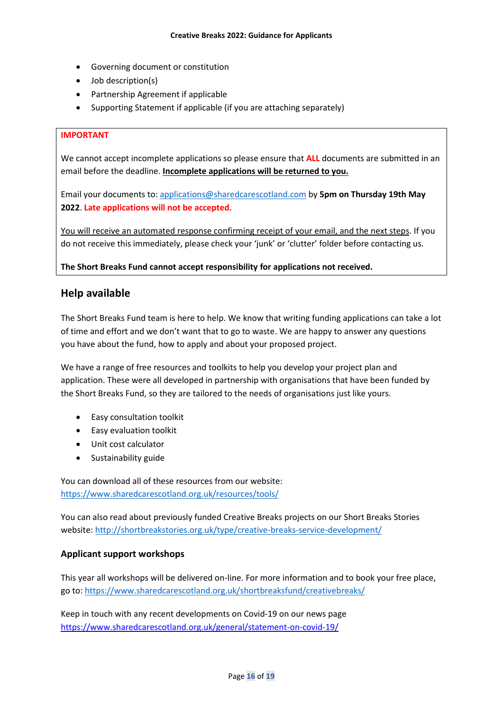- Governing document or constitution
- Job description(s)
- Partnership Agreement if applicable
- Supporting Statement if applicable (if you are attaching separately)

#### **IMPORTANT**

We cannot accept incomplete applications so please ensure that **ALL** documents are submitted in an email before the deadline. **Incomplete applications will be returned to you.**

Email your documents to: [applications@sharedcarescotland.com](mailto:applications@sharedcarescotland.com) by **5pm on Thursday 19th May 2022**. **Late applications will not be accepted.**

You will receive an automated response confirming receipt of your email, and the next steps. If you do not receive this immediately, please check your 'junk' or 'clutter' folder before contacting us.

**The Short Breaks Fund cannot accept responsibility for applications not received.**

## **Help available**

The Short Breaks Fund team is here to help. We know that writing funding applications can take a lot of time and effort and we don't want that to go to waste. We are happy to answer any questions you have about the fund, how to apply and about your proposed project.

We have a range of free resources and toolkits to help you develop your project plan and application. These were all developed in partnership with organisations that have been funded by the Short Breaks Fund, so they are tailored to the needs of organisations just like yours.

- Easy consultation toolkit
- Easy evaluation toolkit
- Unit cost calculator
- Sustainability guide

You can download all of these resources from our website: <https://www.sharedcarescotland.org.uk/resources/tools/>

You can also read about previously funded Creative Breaks projects on our Short Breaks Stories website[: http://shortbreakstories.org.uk/type/creative-breaks-service-development/](http://shortbreakstories.org.uk/type/creative-breaks-service-development/)

#### **Applicant support workshops**

This year all workshops will be delivered on-line. For more information and to book your free place, go to[: https://www.sharedcarescotland.org.uk/shortbreaksfund/creativebreaks/](https://www.sharedcarescotland.org.uk/shortbreaksfund/creativebreaks/)

Keep in touch with any recent developments on Covid-19 on our news page <https://www.sharedcarescotland.org.uk/general/statement-on-covid-19/>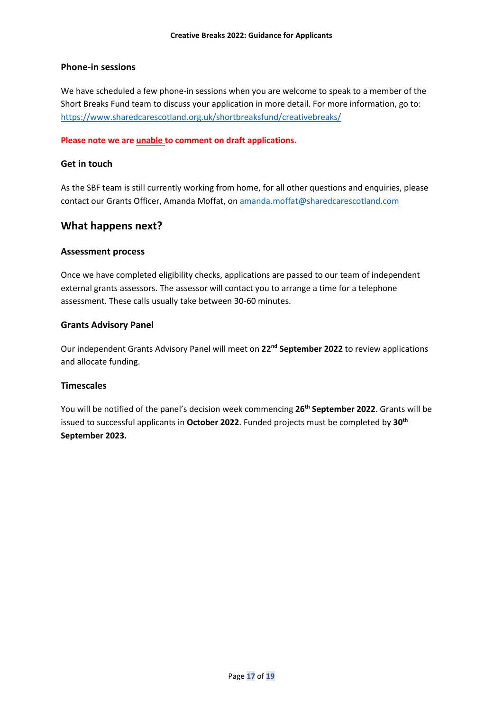## **Phone-in sessions**

We have scheduled a few phone-in sessions when you are welcome to speak to a member of the Short Breaks Fund team to discuss your application in more detail. For more information, go to: <https://www.sharedcarescotland.org.uk/shortbreaksfund/creativebreaks/>

#### **Please note we are unable to comment on draft applications.**

#### **Get in touch**

As the SBF team is still currently working from home, for all other questions and enquiries, please contact our Grants Officer, Amanda Moffat, on [amanda.moffat@sharedcarescotland.com](mailto:amanda.moffat@sharedcarescotland.com)

## **What happens next?**

## **Assessment process**

Once we have completed eligibility checks, applications are passed to our team of independent external grants assessors. The assessor will contact you to arrange a time for a telephone assessment. These calls usually take between 30-60 minutes.

## **Grants Advisory Panel**

Our independent Grants Advisory Panel will meet on **22nd September 2022** to review applications and allocate funding.

#### **Timescales**

You will be notified of the panel's decision week commencing **26th September 2022**. Grants will be issued to successful applicants in **October 2022**. Funded projects must be completed by **30th September 2023.**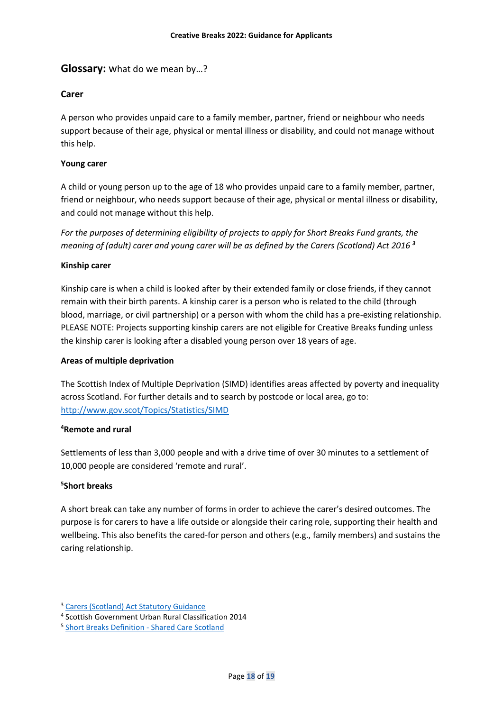## **Glossary:** what do we mean by…?

## **Carer**

A person who provides unpaid care to a family member, partner, friend or neighbour who needs support because of their age, physical or mental illness or disability, and could not manage without this help.

#### **Young carer**

A child or young person up to the age of 18 who provides unpaid care to a family member, partner, friend or neighbour, who needs support because of their age, physical or mental illness or disability, and could not manage without this help.

*For the purposes of determining eligibility of projects to apply for Short Breaks Fund grants, the meaning of (adult) carer and young carer will be as defined by the Carers (Scotland) Act 2016 <sup>3</sup>*

#### **Kinship carer**

Kinship care is when a child is looked after by their extended family or close friends, if they cannot remain with their birth parents. A kinship carer is a person who is related to the child (through blood, marriage, or civil partnership) or a person with whom the child has a pre-existing relationship. PLEASE NOTE: Projects supporting kinship carers are not eligible for Creative Breaks funding unless the kinship carer is looking after a disabled young person over 18 years of age.

#### **Areas of multiple deprivation**

The Scottish Index of Multiple Deprivation (SIMD) identifies areas affected by poverty and inequality across Scotland. For further details and to search by postcode or local area, go to: <http://www.gov.scot/Topics/Statistics/SIMD>

#### **<sup>4</sup>Remote and rural**

Settlements of less than 3,000 people and with a drive time of over 30 minutes to a settlement of 10,000 people are considered 'remote and rural'.

## **5 Short breaks**

A short break can take any number of forms in order to achieve the carer's desired outcomes. The purpose is for carers to have a life outside or alongside their caring role, supporting their health and wellbeing. This also benefits the cared-for person and others (e.g., family members) and sustains the caring relationship.

<sup>3</sup> [Carers \(Scotland\) Act Statutory Guidance](https://www.sharedcarescotland.org.uk/resources/briefings/short-breaks-definition/)

<sup>4</sup> Scottish Government Urban Rural Classification 2014

<sup>&</sup>lt;sup>5</sup> [Short Breaks Definition -](https://www.sharedcarescotland.org.uk/resources/briefings/short-breaks-definition/) Shared Care Scotland